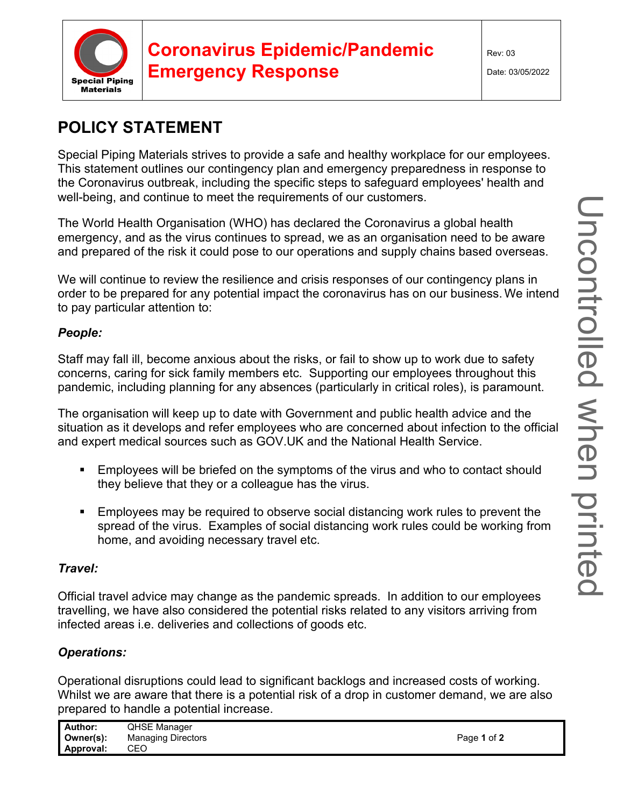

# **Coronavirus Epidemic/Pandemic Emergency Response**

Rev: 03

Date: 03/05/2022

### **POLICY STATEMENT**

Special Piping Materials strives to provide a safe and healthy workplace for our employees. This statement outlines our contingency plan and emergency preparedness in response to the Coronavirus outbreak, including the specific steps to safeguard employees' health and well-being, and continue to meet the requirements of our customers.

The World Health Organisation (WHO) has declared the Coronavirus a global health emergency, and as the virus continues to spread, we as an organisation need to be aware and prepared of the risk it could pose to our operations and supply chains based overseas.

We will continue to review the resilience and crisis responses of our contingency plans in order to be prepared for any potential impact the coronavirus has on our business. We intend to pay particular attention to:

#### *People:*

Staff may fall ill, become anxious about the risks, or fail to show up to work due to safety concerns, caring for sick family members etc. Supporting our employees throughout this pandemic, including planning for any absences (particularly in critical roles), is paramount.

The organisation will keep up to date with Government and public health advice and the situation as it develops and refer employees who are concerned about infection to the official and expert medical sources such as GOV.UK and the National Health Service.

- Employees will be briefed on the symptoms of the virus and who to contact should they believe that they or a colleague has the virus.
- Employees may be required to observe social distancing work rules to prevent the spread of the virus. Examples of social distancing work rules could be working from home, and avoiding necessary travel etc.

### *Travel:*

Official travel advice may change as the pandemic spreads. In addition to our employees travelling, we have also considered the potential risks related to any visitors arriving from infected areas i.e. deliveries and collections of goods etc.

### *Operations:*

Operational disruptions could lead to significant backlogs and increased costs of working. Whilst we are aware that there is a potential risk of a drop in customer demand, we are also prepared to handle a potential increase.

| Author:   | <b>QHSE Manager</b>       |             |
|-----------|---------------------------|-------------|
| Owner(s): | <b>Managing Directors</b> | Page 1 of 2 |
| Approval: | CEC                       |             |